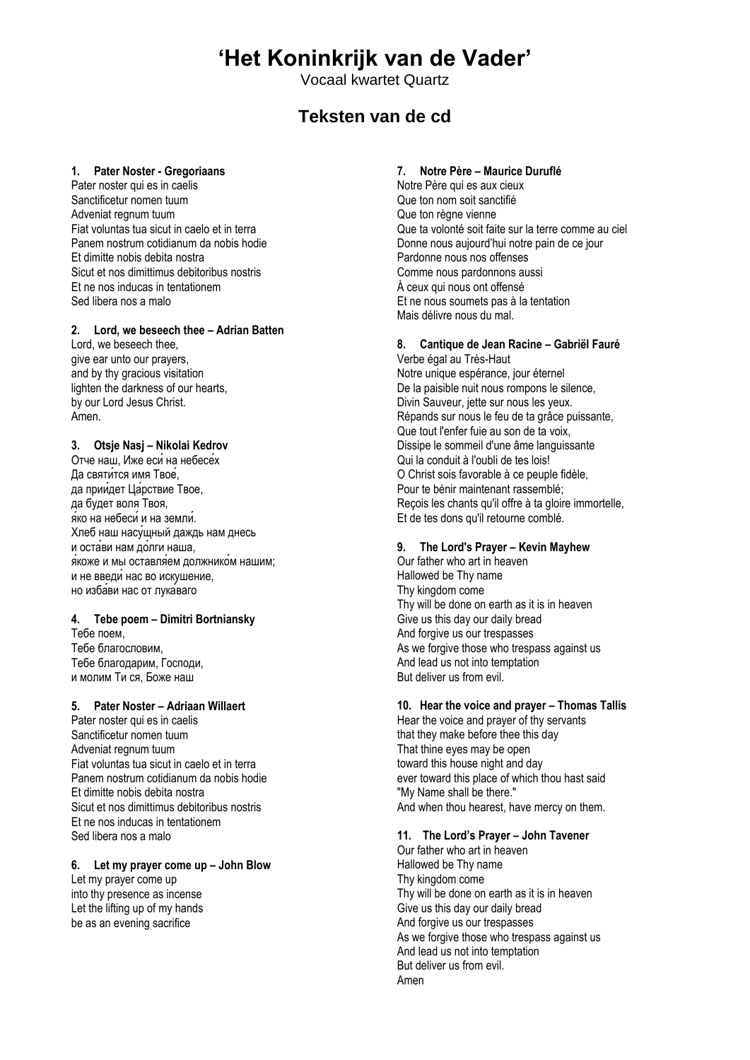# **'Het Koninkrijk van de Vader'**

Vocaal kwartet Quartz

# **Teksten van de cd**

#### **1. Pater Noster - Gregoriaans**

Pater noster qui es in caelis Sanctificetur nomen tuum Adveniat regnum tuum Fiat voluntas tua sicut in caelo et in terra Panem nostrum cotidianum da nobis hodie Et dimitte nobis debita nostra Sicut et nos dimittimus debitoribus nostris Et ne nos inducas in tentationem Sed libera nos a malo

# **2. Lord, we beseech thee – Adrian Batten**

Lord, we beseech thee, give ear unto our prayers, and by thy gracious visitation lighten the darkness of our hearts, by our Lord Jesus Christ. Amen.

#### **3. Otsje Nasj – Nikolai Kedrov**

Отче наш, Иже еси на небесех Да святится имя Твое. да приидет Царствие Твое, да будет воля Твоя, яко на небеси и на земли. Хлеб наш насущный даждь нам днесь и остави нам долги наша, я коже и мы оставляем должником нашим: и не введи нас во искушение, но избави нас от лука ваго

#### **4. Tebe poem – Dimitri Bortniansky**

Тебе поем, Тебе благословим, Тебе благодарим, Господи, и молим Ти ся, Боже наш

#### **5. Pater Noster – Adriaan Willaert**

Pater noster qui es in caelis Sanctificetur nomen tuum Adveniat regnum tuum Fiat voluntas tua sicut in caelo et in terra Panem nostrum cotidianum da nobis hodie Et dimitte nobis debita nostra Sicut et nos dimittimus debitoribus nostris Et ne nos inducas in tentationem Sed libera nos a malo

# **6. Let my prayer come up – John Blow**

Let my prayer come up into thy presence as incense Let the lifting up of my hands be as an evening sacrifice

#### **7. Notre Père – Maurice Duruflé**

Notre Père qui es aux cieux Que ton nom soit sanctifié Que ton règne vienne Que ta volonté soit faite sur la terre comme au ciel Donne nous aujourd'hui notre pain de ce jour Pardonne nous nos offenses Comme nous pardonnons aussi À ceux qui nous ont offensé Et ne nous soumets pas à la tentation Mais délivre nous du mal.

#### **8. Cantique de Jean Racine – Gabriël Fauré**

Verbe égal au Très-Haut Notre unique espérance, jour éternel De la paisible nuit nous rompons le silence, Divin Sauveur, jette sur nous les yeux. Répands sur nous le feu de ta grâce puissante, Que tout l'enfer fuie au son de ta voix, Dissipe le sommeil d'une âme languissante Qui la conduit à l'oubli de tes lois! O Christ sois favorable à ce peuple fidèle, Pour te bénir maintenant rassemblé; Reçois les chants qu'il offre à ta gloire immortelle, Et de tes dons qu'il retourne comblé.

# **9. The Lord's Prayer – Kevin Mayhew**

Our father who art in heaven Hallowed be Thy name Thy kingdom come Thy will be done on earth as it is in heaven Give us this day our daily bread And forgive us our trespasses As we forgive those who trespass against us And lead us not into temptation But deliver us from evil.

#### **10. Hear the voice and prayer – Thomas Tallis**

Hear the voice and prayer of thy servants that they make before thee this day That thine eyes may be open toward this house night and day ever toward this place of which thou hast said "My Name shall be there." And when thou hearest, have mercy on them.

### **11. The Lord's Prayer – John Tavener**

Our father who art in heaven Hallowed be Thy name Thy kingdom come Thy will be done on earth as it is in heaven Give us this day our daily bread And forgive us our trespasses As we forgive those who trespass against us And lead us not into temptation But deliver us from evil. Amen